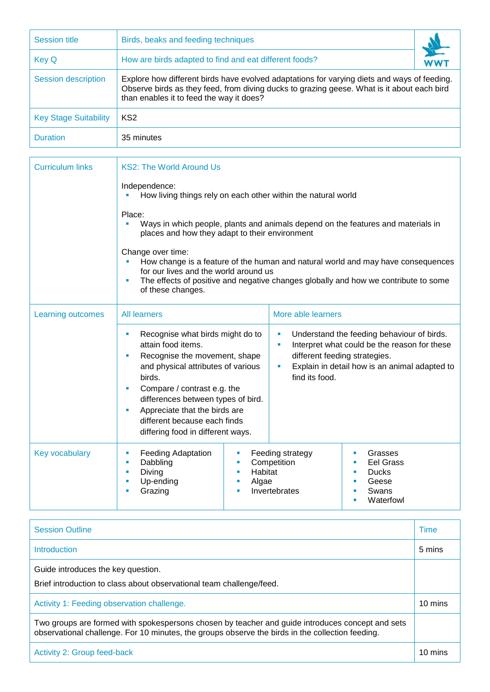| <b>Session title</b>         | Birds, beaks and feeding techniques                                                                                                                                                                                                   |  |
|------------------------------|---------------------------------------------------------------------------------------------------------------------------------------------------------------------------------------------------------------------------------------|--|
| <b>Key Q</b>                 | How are birds adapted to find and eat different foods?                                                                                                                                                                                |  |
| <b>Session description</b>   | Explore how different birds have evolved adaptations for varying diets and ways of feeding.<br>Observe birds as they feed, from diving ducks to grazing geese. What is it about each bird<br>than enables it to feed the way it does? |  |
| <b>Key Stage Suitability</b> | KS <sub>2</sub>                                                                                                                                                                                                                       |  |
| <b>Duration</b>              | 35 minutes                                                                                                                                                                                                                            |  |

| <b>Curriculum links</b> | <b>KS2: The World Around Us</b>                                                                                                                                                                                                                                                                                                   |                                           |                                                                |                                                                                                                                                                         |
|-------------------------|-----------------------------------------------------------------------------------------------------------------------------------------------------------------------------------------------------------------------------------------------------------------------------------------------------------------------------------|-------------------------------------------|----------------------------------------------------------------|-------------------------------------------------------------------------------------------------------------------------------------------------------------------------|
|                         | Independence:<br>How living things rely on each other within the natural world                                                                                                                                                                                                                                                    |                                           |                                                                |                                                                                                                                                                         |
|                         | Place:<br>places and how they adapt to their environment                                                                                                                                                                                                                                                                          |                                           |                                                                | Ways in which people, plants and animals depend on the features and materials in                                                                                        |
|                         | Change over time:<br>for our lives and the world around us<br>×<br>of these changes.                                                                                                                                                                                                                                              |                                           |                                                                | How change is a feature of the human and natural world and may have consequences<br>The effects of positive and negative changes globally and how we contribute to some |
| Learning outcomes       | <b>All learners</b>                                                                                                                                                                                                                                                                                                               |                                           | More able learners                                             |                                                                                                                                                                         |
|                         | Recognise what birds might do to<br>×<br>attain food items.<br>Recognise the movement, shape<br>ш<br>and physical attributes of various<br>birds.<br>Compare / contrast e.g. the<br>×<br>differences between types of bird.<br>Appreciate that the birds are<br>different because each finds<br>differing food in different ways. |                                           | ×<br>٠<br>different feeding strategies.<br>ш<br>find its food. | Understand the feeding behaviour of birds.<br>Interpret what could be the reason for these<br>Explain in detail how is an animal adapted to                             |
| Key vocabulary          | <b>Feeding Adaptation</b><br>ш<br>Dabbling<br>$\blacksquare$<br>Diving<br>٠<br>Up-ending<br>٠<br>Grazing<br>٠                                                                                                                                                                                                                     | ш<br>ш<br>Habitat<br>×<br>Algae<br>×<br>× | Feeding strategy<br>Competition<br>Invertebrates               | Grasses<br>×<br><b>Eel Grass</b><br><b>Ducks</b><br>×<br>Geese<br>×<br>Swans<br>×<br>Waterfowl<br>٠                                                                     |

| <b>Session Outline</b>                                                                                                                                                                               | Time    |
|------------------------------------------------------------------------------------------------------------------------------------------------------------------------------------------------------|---------|
| Introduction                                                                                                                                                                                         | 5 mins  |
| Guide introduces the key question.<br>Brief introduction to class about observational team challenge/feed.                                                                                           |         |
| Activity 1: Feeding observation challenge.                                                                                                                                                           | 10 mins |
| Two groups are formed with spokespersons chosen by teacher and guide introduces concept and sets<br>observational challenge. For 10 minutes, the groups observe the birds in the collection feeding. |         |
| <b>Activity 2: Group feed-back</b>                                                                                                                                                                   | 10 mins |